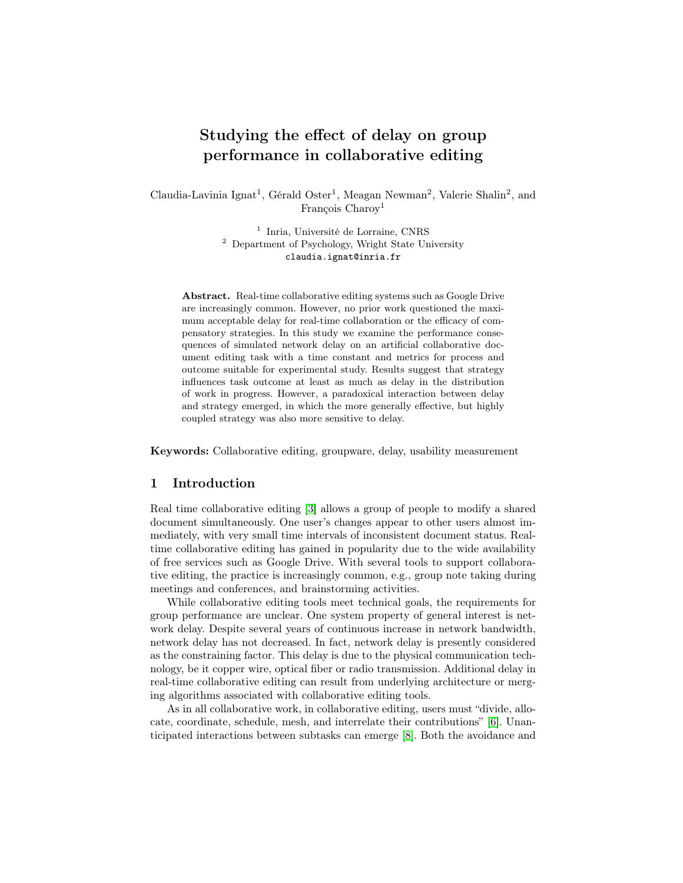# Studying the effect of delay on group performance in collaborative editing

Claudia-Lavinia Ignat<sup>1</sup>, Gérald Oster<sup>1</sup>, Meagan Newman<sup>2</sup>, Valerie Shalin<sup>2</sup>, and François Charoy<sup>1</sup>

> 1 Inria, Université de Lorraine, CNRS <sup>2</sup> Department of Psychology, Wright State University claudia.ignat@inria.fr

Abstract. Real-time collaborative editing systems such as Google Drive are increasingly common. However, no prior work questioned the maximum acceptable delay for real-time collaboration or the efficacy of compensatory strategies. In this study we examine the performance consequences of simulated network delay on an artificial collaborative document editing task with a time constant and metrics for process and outcome suitable for experimental study. Results suggest that strategy influences task outcome at least as much as delay in the distribution of work in progress. However, a paradoxical interaction between delay and strategy emerged, in which the more generally effective, but highly coupled strategy was also more sensitive to delay.

Keywords: Collaborative editing, groupware, delay, usability measurement

# 1 Introduction

Real time collaborative editing [\[3\]](#page-7-0) allows a group of people to modify a shared document simultaneously. One user's changes appear to other users almost immediately, with very small time intervals of inconsistent document status. Realtime collaborative editing has gained in popularity due to the wide availability of free services such as Google Drive. With several tools to support collaborative editing, the practice is increasingly common, e.g., group note taking during meetings and conferences, and brainstorming activities.

While collaborative editing tools meet technical goals, the requirements for group performance are unclear. One system property of general interest is network delay. Despite several years of continuous increase in network bandwidth, network delay has not decreased. In fact, network delay is presently considered as the constraining factor. This delay is due to the physical communication technology, be it copper wire, optical fiber or radio transmission. Additional delay in real-time collaborative editing can result from underlying architecture or merging algorithms associated with collaborative editing tools.

As in all collaborative work, in collaborative editing, users must "divide, allocate, coordinate, schedule, mesh, and interrelate their contributions" [\[6\]](#page-7-1). Unanticipated interactions between subtasks can emerge [\[8\]](#page-7-2). Both the avoidance and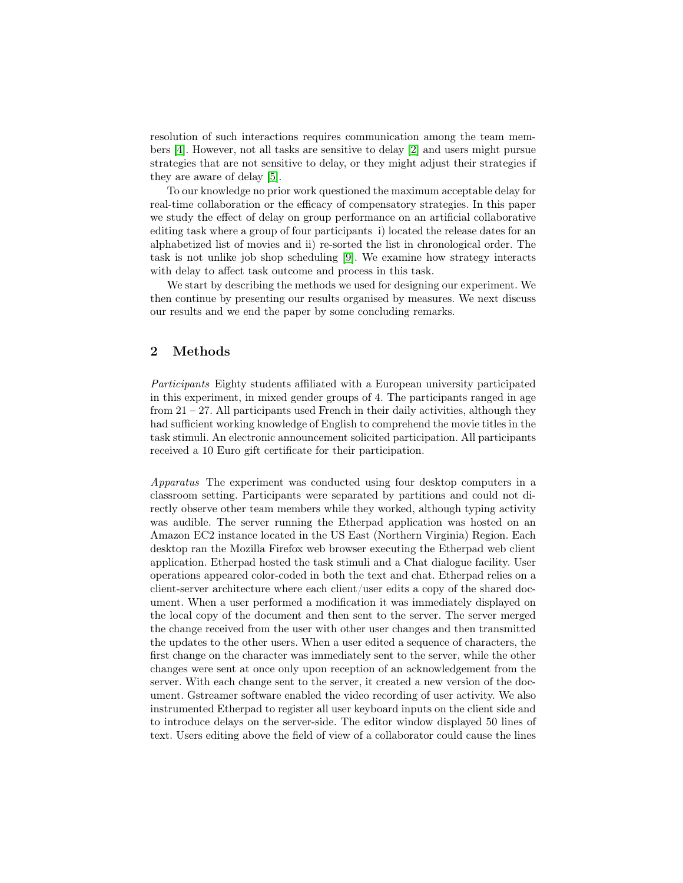resolution of such interactions requires communication among the team members [\[4\]](#page-7-3). However, not all tasks are sensitive to delay [\[2\]](#page-7-4) and users might pursue strategies that are not sensitive to delay, or they might adjust their strategies if they are aware of delay [\[5\]](#page-7-5).

To our knowledge no prior work questioned the maximum acceptable delay for real-time collaboration or the efficacy of compensatory strategies. In this paper we study the effect of delay on group performance on an artificial collaborative editing task where a group of four participants i) located the release dates for an alphabetized list of movies and ii) re-sorted the list in chronological order. The task is not unlike job shop scheduling [\[9\]](#page-7-6). We examine how strategy interacts with delay to affect task outcome and process in this task.

We start by describing the methods we used for designing our experiment. We then continue by presenting our results organised by measures. We next discuss our results and we end the paper by some concluding remarks.

# 2 Methods

Participants Eighty students affiliated with a European university participated in this experiment, in mixed gender groups of 4. The participants ranged in age from  $21 - 27$ . All participants used French in their daily activities, although they had sufficient working knowledge of English to comprehend the movie titles in the task stimuli. An electronic announcement solicited participation. All participants received a 10 Euro gift certificate for their participation.

Apparatus The experiment was conducted using four desktop computers in a classroom setting. Participants were separated by partitions and could not directly observe other team members while they worked, although typing activity was audible. The server running the Etherpad application was hosted on an Amazon EC2 instance located in the US East (Northern Virginia) Region. Each desktop ran the Mozilla Firefox web browser executing the Etherpad web client application. Etherpad hosted the task stimuli and a Chat dialogue facility. User operations appeared color-coded in both the text and chat. Etherpad relies on a client-server architecture where each client/user edits a copy of the shared document. When a user performed a modification it was immediately displayed on the local copy of the document and then sent to the server. The server merged the change received from the user with other user changes and then transmitted the updates to the other users. When a user edited a sequence of characters, the first change on the character was immediately sent to the server, while the other changes were sent at once only upon reception of an acknowledgement from the server. With each change sent to the server, it created a new version of the document. Gstreamer software enabled the video recording of user activity. We also instrumented Etherpad to register all user keyboard inputs on the client side and to introduce delays on the server-side. The editor window displayed 50 lines of text. Users editing above the field of view of a collaborator could cause the lines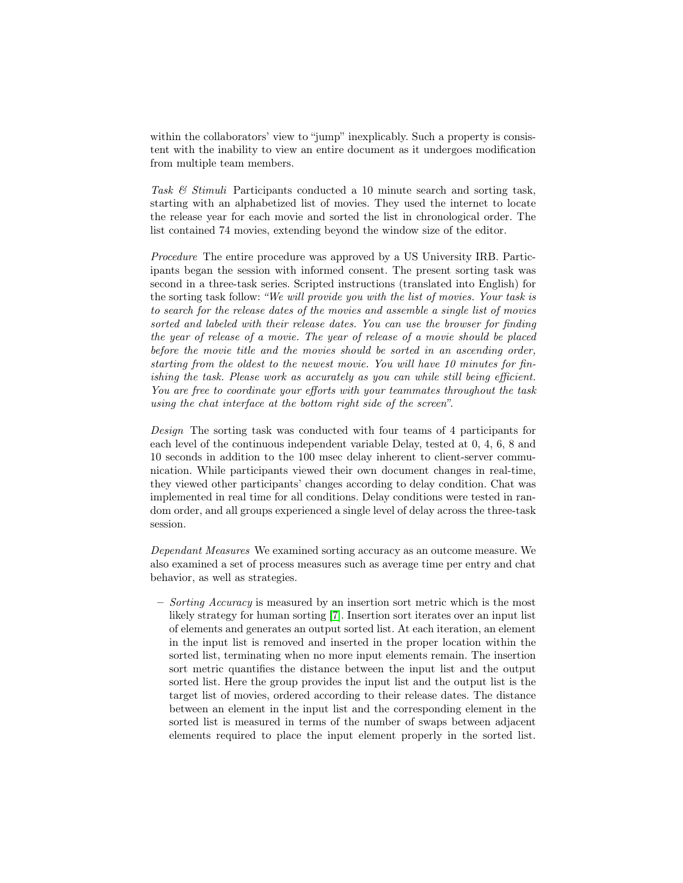within the collaborators' view to "jump" inexplicably. Such a property is consistent with the inability to view an entire document as it undergoes modification from multiple team members.

Task & Stimuli Participants conducted a 10 minute search and sorting task, starting with an alphabetized list of movies. They used the internet to locate the release year for each movie and sorted the list in chronological order. The list contained 74 movies, extending beyond the window size of the editor.

Procedure The entire procedure was approved by a US University IRB. Participants began the session with informed consent. The present sorting task was second in a three-task series. Scripted instructions (translated into English) for the sorting task follow: "We will provide you with the list of movies. Your task is to search for the release dates of the movies and assemble a single list of movies sorted and labeled with their release dates. You can use the browser for finding the year of release of a movie. The year of release of a movie should be placed before the movie title and the movies should be sorted in an ascending order, starting from the oldest to the newest movie. You will have 10 minutes for finishing the task. Please work as accurately as you can while still being efficient. You are free to coordinate your efforts with your teammates throughout the task using the chat interface at the bottom right side of the screen".

Design The sorting task was conducted with four teams of 4 participants for each level of the continuous independent variable Delay, tested at 0, 4, 6, 8 and 10 seconds in addition to the 100 msec delay inherent to client-server communication. While participants viewed their own document changes in real-time, they viewed other participants' changes according to delay condition. Chat was implemented in real time for all conditions. Delay conditions were tested in random order, and all groups experienced a single level of delay across the three-task session.

Dependant Measures We examined sorting accuracy as an outcome measure. We also examined a set of process measures such as average time per entry and chat behavior, as well as strategies.

– Sorting Accuracy is measured by an insertion sort metric which is the most likely strategy for human sorting [\[7\]](#page-7-7). Insertion sort iterates over an input list of elements and generates an output sorted list. At each iteration, an element in the input list is removed and inserted in the proper location within the sorted list, terminating when no more input elements remain. The insertion sort metric quantifies the distance between the input list and the output sorted list. Here the group provides the input list and the output list is the target list of movies, ordered according to their release dates. The distance between an element in the input list and the corresponding element in the sorted list is measured in terms of the number of swaps between adjacent elements required to place the input element properly in the sorted list.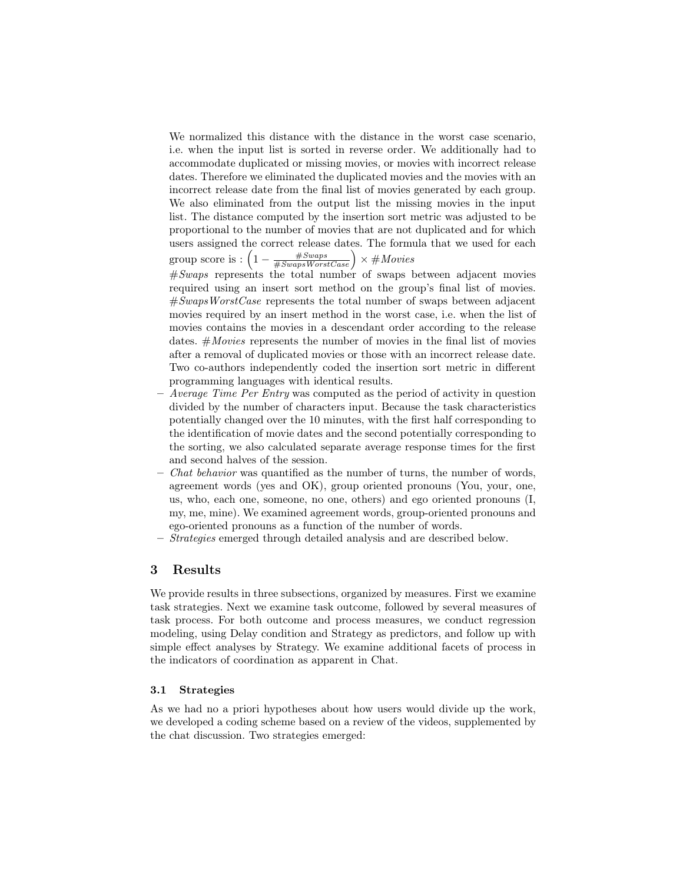We normalized this distance with the distance in the worst case scenario, i.e. when the input list is sorted in reverse order. We additionally had to accommodate duplicated or missing movies, or movies with incorrect release dates. Therefore we eliminated the duplicated movies and the movies with an incorrect release date from the final list of movies generated by each group. We also eliminated from the output list the missing movies in the input list. The distance computed by the insertion sort metric was adjusted to be proportional to the number of movies that are not duplicated and for which users assigned the correct release dates. The formula that we used for each  $\text{group score is}: \left(1 - \frac{\#Swaps}{\#Swaps\textit{WorstCase}}\right) \times \# \textit{Movies}$ 

#Swaps represents the total number of swaps between adjacent movies required using an insert sort method on the group's final list of movies.  $#SwapsWorstCase$  represents the total number of swaps between adjacent movies required by an insert method in the worst case, i.e. when the list of movies contains the movies in a descendant order according to the release dates.  $#Movies$  represents the number of movies in the final list of movies after a removal of duplicated movies or those with an incorrect release date. Two co-authors independently coded the insertion sort metric in different programming languages with identical results.

- $-$  Average Time Per Entry was computed as the period of activity in question divided by the number of characters input. Because the task characteristics potentially changed over the 10 minutes, with the first half corresponding to the identification of movie dates and the second potentially corresponding to the sorting, we also calculated separate average response times for the first and second halves of the session.
- Chat behavior was quantified as the number of turns, the number of words, agreement words (yes and OK), group oriented pronouns (You, your, one, us, who, each one, someone, no one, others) and ego oriented pronouns (I, my, me, mine). We examined agreement words, group-oriented pronouns and ego-oriented pronouns as a function of the number of words.
- Strategies emerged through detailed analysis and are described below.

# 3 Results

We provide results in three subsections, organized by measures. First we examine task strategies. Next we examine task outcome, followed by several measures of task process. For both outcome and process measures, we conduct regression modeling, using Delay condition and Strategy as predictors, and follow up with simple effect analyses by Strategy. We examine additional facets of process in the indicators of coordination as apparent in Chat.

#### 3.1 Strategies

As we had no a priori hypotheses about how users would divide up the work, we developed a coding scheme based on a review of the videos, supplemented by the chat discussion. Two strategies emerged: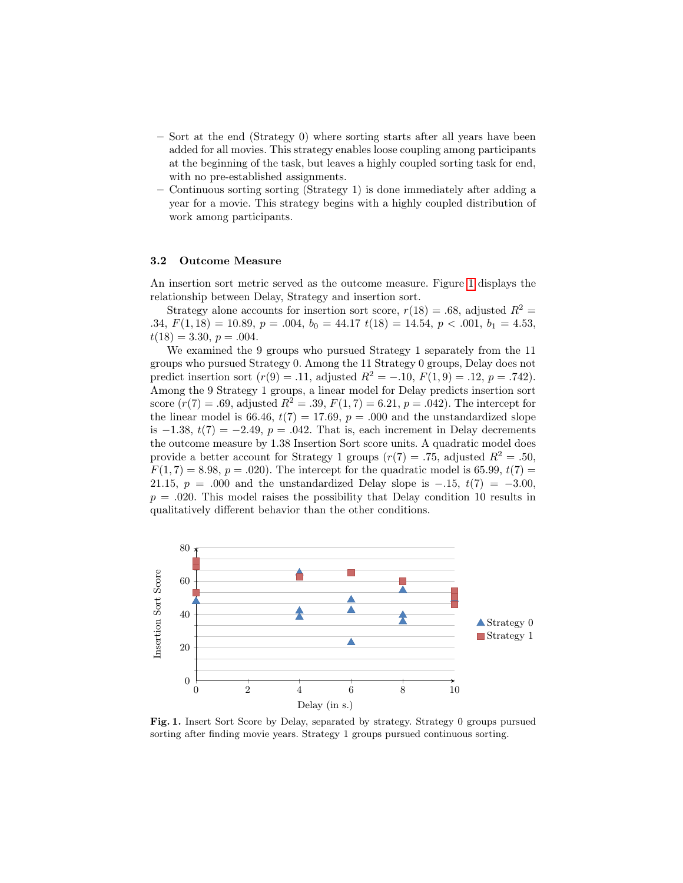- Sort at the end (Strategy 0) where sorting starts after all years have been added for all movies. This strategy enables loose coupling among participants at the beginning of the task, but leaves a highly coupled sorting task for end, with no pre-established assignments.
- Continuous sorting sorting (Strategy 1) is done immediately after adding a year for a movie. This strategy begins with a highly coupled distribution of work among participants.

#### 3.2 Outcome Measure

An insertion sort metric served as the outcome measure. Figure [1](#page-4-0) displays the relationship between Delay, Strategy and insertion sort.

Strategy alone accounts for insertion sort score,  $r(18) = .68$ , adjusted  $R^2 =$ .34,  $F(1, 18) = 10.89$ ,  $p = .004$ ,  $b_0 = 44.17$   $t(18) = 14.54$ ,  $p < .001$ ,  $b_1 = 4.53$ ,  $t(18) = 3.30, p = .004.$ 

We examined the 9 groups who pursued Strategy 1 separately from the 11 groups who pursued Strategy 0. Among the 11 Strategy 0 groups, Delay does not predict insertion sort  $(r(9) = .11,$  adjusted  $R^2 = -.10, F(1, 9) = .12, p = .742$ . Among the 9 Strategy 1 groups, a linear model for Delay predicts insertion sort score  $(r(7) = .69$ , adjusted  $R^2 = .39$ ,  $F(1, 7) = 6.21$ ,  $p = .042$ ). The intercept for the linear model is 66.46,  $t(7) = 17.69$ ,  $p = .000$  and the unstandardized slope is  $-1.38$ ,  $t(7) = -2.49$ ,  $p = .042$ . That is, each increment in Delay decrements the outcome measure by 1.38 Insertion Sort score units. A quadratic model does provide a better account for Strategy 1 groups  $(r(7) = .75,$  adjusted  $R^2 = .50$ ,  $F(1, 7) = 8.98, p = .020$ . The intercept for the quadratic model is 65.99,  $t(7) =$ 21.15,  $p = .000$  and the unstandardized Delay slope is  $-.15, t(7) = -3.00$ ,  $p = .020$ . This model raises the possibility that Delay condition 10 results in qualitatively different behavior than the other conditions.



<span id="page-4-0"></span>Fig. 1. Insert Sort Score by Delay, separated by strategy. Strategy 0 groups pursued sorting after finding movie years. Strategy 1 groups pursued continuous sorting.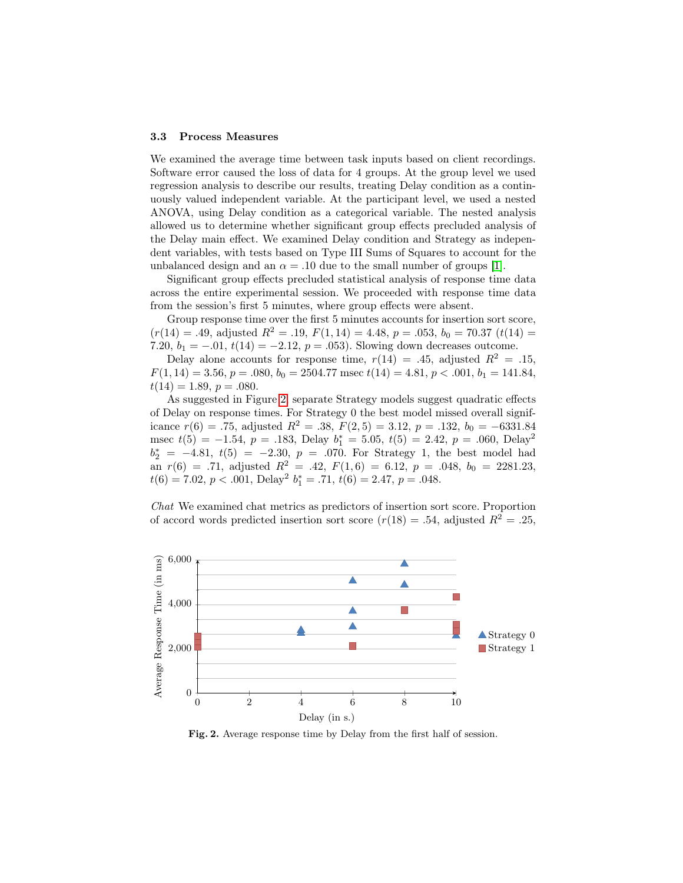#### 3.3 Process Measures

We examined the average time between task inputs based on client recordings. Software error caused the loss of data for 4 groups. At the group level we used regression analysis to describe our results, treating Delay condition as a continuously valued independent variable. At the participant level, we used a nested ANOVA, using Delay condition as a categorical variable. The nested analysis allowed us to determine whether significant group effects precluded analysis of the Delay main effect. We examined Delay condition and Strategy as independent variables, with tests based on Type III Sums of Squares to account for the unbalanced design and an  $\alpha = .10$  due to the small number of groups [\[1\]](#page-7-8).

Significant group effects precluded statistical analysis of response time data across the entire experimental session. We proceeded with response time data from the session's first 5 minutes, where group effects were absent.

Group response time over the first 5 minutes accounts for insertion sort score,  $(r(14) = .49,$  adjusted  $R^2 = .19, F(1, 14) = 4.48, p = .053, b_0 = 70.37 (t(14) =$ 7.20,  $b_1 = -0.01$ ,  $t(14) = -2.12$ ,  $p = 0.053$ ). Slowing down decreases outcome.

Delay alone accounts for response time,  $r(14) = .45$ , adjusted  $R<sup>2</sup> = .15$ ,  $F(1, 14) = 3.56, p = .080, b<sub>0</sub> = 2504.77$  msec  $t(14) = 4.81, p < .001, b<sub>1</sub> = 141.84,$  $t(14) = 1.89, p = .080.$ 

As suggested in Figure [2,](#page-5-0) separate Strategy models suggest quadratic effects of Delay on response times. For Strategy 0 the best model missed overall significance  $r(6) = .75$ , adjusted  $R^2 = .38$ ,  $F(2, 5) = 3.12$ ,  $p = .132$ ,  $b_0 = -6331.84$ msec  $t(5) = -1.54$ ,  $p = .183$ , Delay  $b_1^* = 5.05$ ,  $t(5) = 2.42$ ,  $p = .060$ , Delay<sup>2</sup>  $b_2^* = -4.81, t(5) = -2.30, p = .070.$  For Strategy 1, the best model had an  $r(6) = .71$ , adjusted  $R^2 = .42$ ,  $F(1, 6) = 6.12$ ,  $p = .048$ ,  $b_0 = 2281.23$ ,  $t(6) = 7.02, p < .001, \text{ Delay}^2 b_1^* = .71, t(6) = 2.47, p = .048.$ 

Chat We examined chat metrics as predictors of insertion sort score. Proportion of accord words predicted insertion sort score  $(r(18) = .54,$  adjusted  $R^2 = .25,$ 



<span id="page-5-0"></span>Fig. 2. Average response time by Delay from the first half of session.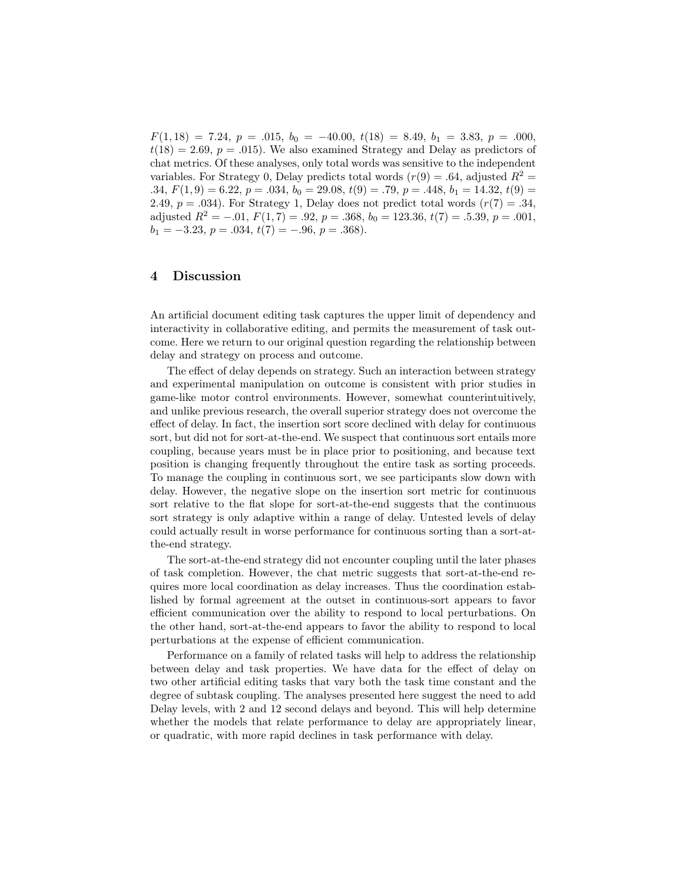$F(1, 18) = 7.24, p = .015, b_0 = -40.00, t(18) = 8.49, b_1 = 3.83, p = .000,$  $t(18) = 2.69, p = .015$ . We also examined Strategy and Delay as predictors of chat metrics. Of these analyses, only total words was sensitive to the independent variables. For Strategy 0, Delay predicts total words  $(r(9) = .64$ , adjusted  $R^2 =$ .34,  $F(1,9) = 6.22, p = .034, b_0 = 29.08, t(9) = .79, p = .448, b_1 = 14.32, t(9) =$ 2.49,  $p = .034$ ). For Strategy 1, Delay does not predict total words  $(r(7) = .34, )$ adjusted  $R^2 = -0.01$ ,  $F(1, 7) = 0.92$ ,  $p = 0.368$ ,  $b_0 = 123.36$ ,  $t(7) = 0.5.39$ ,  $p = 0.001$ ,  $b_1 = -3.23, p = .034, t(7) = -.96, p = .368$ .

# 4 Discussion

An artificial document editing task captures the upper limit of dependency and interactivity in collaborative editing, and permits the measurement of task outcome. Here we return to our original question regarding the relationship between delay and strategy on process and outcome.

The effect of delay depends on strategy. Such an interaction between strategy and experimental manipulation on outcome is consistent with prior studies in game-like motor control environments. However, somewhat counterintuitively, and unlike previous research, the overall superior strategy does not overcome the effect of delay. In fact, the insertion sort score declined with delay for continuous sort, but did not for sort-at-the-end. We suspect that continuous sort entails more coupling, because years must be in place prior to positioning, and because text position is changing frequently throughout the entire task as sorting proceeds. To manage the coupling in continuous sort, we see participants slow down with delay. However, the negative slope on the insertion sort metric for continuous sort relative to the flat slope for sort-at-the-end suggests that the continuous sort strategy is only adaptive within a range of delay. Untested levels of delay could actually result in worse performance for continuous sorting than a sort-atthe-end strategy.

The sort-at-the-end strategy did not encounter coupling until the later phases of task completion. However, the chat metric suggests that sort-at-the-end requires more local coordination as delay increases. Thus the coordination established by formal agreement at the outset in continuous-sort appears to favor efficient communication over the ability to respond to local perturbations. On the other hand, sort-at-the-end appears to favor the ability to respond to local perturbations at the expense of efficient communication.

Performance on a family of related tasks will help to address the relationship between delay and task properties. We have data for the effect of delay on two other artificial editing tasks that vary both the task time constant and the degree of subtask coupling. The analyses presented here suggest the need to add Delay levels, with 2 and 12 second delays and beyond. This will help determine whether the models that relate performance to delay are appropriately linear, or quadratic, with more rapid declines in task performance with delay.